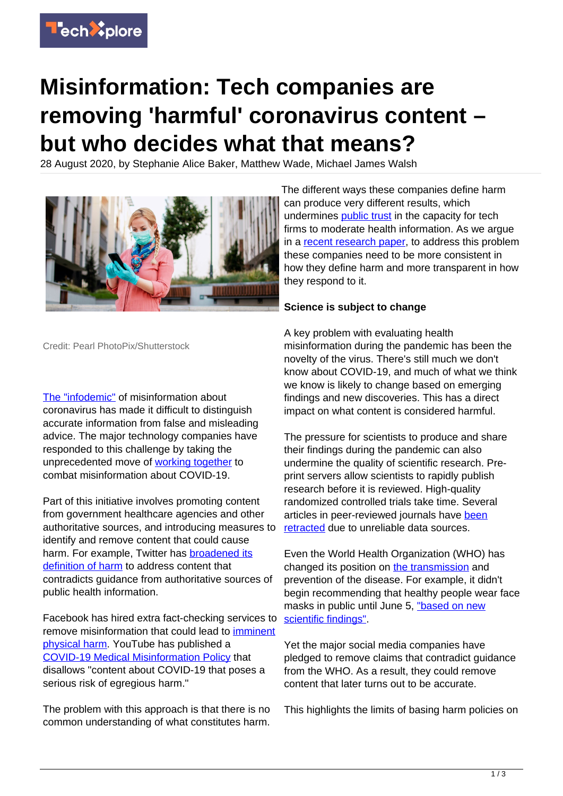

## **Misinformation: Tech companies are removing 'harmful' coronavirus content – but who decides what that means?**

28 August 2020, by Stephanie Alice Baker, Matthew Wade, Michael James Walsh



Credit: Pearl PhotoPix/Shutterstock

[The "infodemic"](https://www.who.int/docs/default-source/coronaviruse/situation-reports/20200415-sitrep-86-COVID-19.pdf?sfvrsn=c615ea20_6) of misinformation about coronavirus has made it difficult to distinguish accurate information from false and misleading advice. The major technology companies have responded to this challenge by taking the unprecedented move of [working together](https://twitter.com/fbnewsroom/status/1239703497479614466) to combat misinformation about COVID-19.

Part of this initiative involves promoting content from government healthcare agencies and other authoritative sources, and introducing measures to identify and remove content that could cause harm. For example, Twitter has [broadened its](https://blog.twitter.com/en_us/topics/company/2020/An-update-on-our-continuity-strategy-during-COVID-19.html) [definition of harm](https://blog.twitter.com/en_us/topics/company/2020/An-update-on-our-continuity-strategy-during-COVID-19.html) to address content that contradicts guidance from authoritative sources of public health information.

Facebook has hired extra fact-checking services to remove misinformation that could lead to [imminent](https://about.fb.com/news/2020/04/COVID-19-misinfo-update/) [physical harm](https://about.fb.com/news/2020/04/COVID-19-misinfo-update/). YouTube has published a [COVID-19 Medical Misinformation Policy](https://support.google.com/youtube/answer/9891785?hl=en) that disallows "content about COVID-19 that poses a serious risk of egregious harm."

The problem with this approach is that there is no common understanding of what constitutes harm.

The different ways these companies define harm can produce very different results, which undermines [public trust](https://techxplore.com/tags/public+trust/) in the capacity for tech firms to moderate health information. As we argue in a [recent research paper,](https://journals.sagepub.com/doi/full/10.1177/1329878X20951301) to address this problem these companies need to be more consistent in how they define harm and more transparent in how they respond to it.

## **Science is subject to change**

A key problem with evaluating health misinformation during the pandemic has been the novelty of the virus. There's still much we don't know about COVID-19, and much of what we think we know is likely to change based on emerging findings and new discoveries. This has a direct impact on what content is considered harmful.

The pressure for scientists to produce and share their findings during the pandemic can also undermine the quality of scientific research. Preprint servers allow scientists to rapidly publish research before it is reviewed. High-quality randomized controlled trials take time. Several articles in peer-reviewed journals have [been](https://www.sciencemag.org/news/2020/06/two-elite-medical-journals-retract-coronavirus-papers-over-data-integrity-questions) [retracted](https://www.sciencemag.org/news/2020/06/two-elite-medical-journals-retract-coronavirus-papers-over-data-integrity-questions) due to unreliable data sources.

Even the World Health Organization (WHO) has changed its position on [the transmission](https://twitter.com/WHO/status/1217043229427761152) and prevention of the disease. For example, it didn't begin recommending that healthy people wear face masks in public until June 5, ["based on new](https://www.who.int/emergencies/diseases/novel-coronavirus-2019/advice-for-public/when-and-how-to-use-masks) [scientific findings".](https://www.who.int/emergencies/diseases/novel-coronavirus-2019/advice-for-public/when-and-how-to-use-masks)

Yet the major social media companies have pledged to remove claims that contradict guidance from the WHO. As a result, they could remove content that later turns out to be accurate.

This highlights the limits of basing harm policies on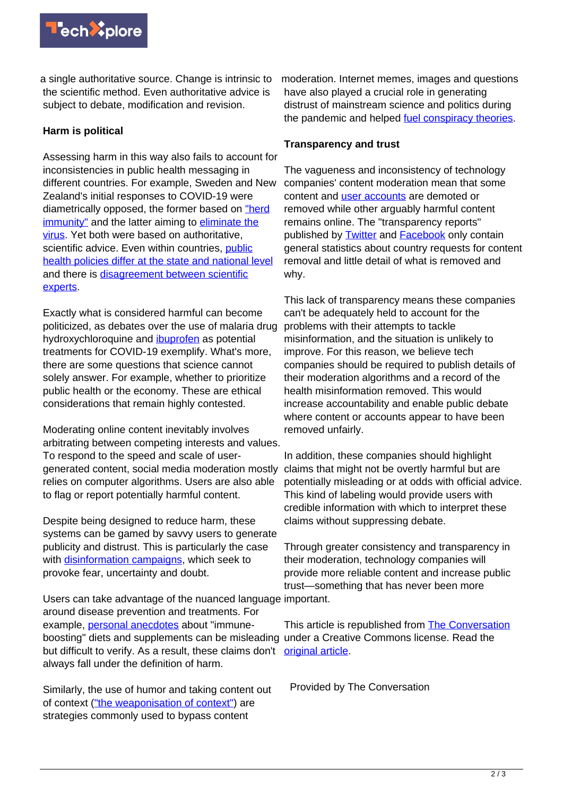

a single authoritative source. Change is intrinsic to the scientific method. Even authoritative advice is subject to debate, modification and revision.

## **Harm is political**

Assessing harm in this way also fails to account for inconsistencies in public health messaging in different countries. For example, Sweden and New Zealand's initial responses to COVID-19 were diametrically opposed, the former based on ["herd](https://www.bmj.com/content/369/bmj.m2376) [immunity"](https://www.bmj.com/content/369/bmj.m2376) and the latter aiming to [eliminate the](https://www.newscientist.com/article/2246858-why-new-zealand-decided-to-go-for-full-elimination-of-the-coronavirus/) [virus.](https://www.newscientist.com/article/2246858-why-new-zealand-decided-to-go-for-full-elimination-of-the-coronavirus/) Yet both were based on authoritative, scientific advice. Even within countries, [public](https://www.theguardian.com/us-news/2020/mar/29/america-states-coronavirus-red-blue-different-approaches) [health policies differ at the state and national level](https://www.theguardian.com/us-news/2020/mar/29/america-states-coronavirus-red-blue-different-approaches) and there is [disagreement between scientific](https://petition.parliament.uk/petitions/300965) [experts](https://petition.parliament.uk/petitions/300965).

Exactly what is considered harmful can become politicized, as debates over the use of malaria drug hydroxychloroquine and [ibuprofen](https://abcnews.go.com/Health/experts-debate-safety-ibuprofen-COVID-19/story?id=69663495) as potential treatments for COVID-19 exemplify. What's more, there are some questions that science cannot solely answer. For example, whether to prioritize public health or the economy. These are ethical considerations that remain highly contested.

Moderating online content inevitably involves arbitrating between competing interests and values. To respond to the speed and scale of usergenerated content, social media moderation mostly relies on computer algorithms. Users are also able to flag or report potentially harmful content.

Despite being designed to reduce harm, these systems can be gamed by savvy users to generate publicity and distrust. This is particularly the case with [disinformation campaigns,](https://link.springer.com/article/10.1007/s12130-000-1022-x) which seek to provoke fear, uncertainty and doubt.

Users can take advantage of the nuanced language important. around disease prevention and treatments. For example, [personal anecdotes](https://journals.sagepub.com/doi/abs/10.1177/1440783319846188?journalCode=josb) about "immuneboosting" diets and supplements can be misleading under a Creative Commons license. Read the but difficult to verify. As a result, these claims don't [original article](https://theconversation.com/misinformation-tech-companies-are-removing-harmful-coronavirus-content-but-who-decides-what-that-means-144534). always fall under the definition of harm.

Similarly, the use of humor and taking content out of context (["the weaponisation of context"\)](https://firstdraftnews.org/latest/information-disorder-the-techniques-we-saw-in-2016-have-evolved) are strategies commonly used to bypass content

moderation. Internet memes, images and questions have also played a crucial role in generating distrust of mainstream science and politics during the pandemic and helped [fuel conspiracy theories.](https://www.researchgate.net/publication/343713825_Baker_SA_2020_Tackling_Misinformation_and_Disinformation_in_the_Context_of_COVID-19_Cabinet_Office_C19_Seminar_Series)

## **Transparency and trust**

The vagueness and inconsistency of technology companies' content moderation mean that some content and [user accounts](https://techxplore.com/tags/user+accounts/) are demoted or removed while other arguably harmful content remains online. The "transparency reports" published by **Twitter** and **[Facebook](https://transparency.facebook.com/)** only contain general statistics about country requests for content removal and little detail of what is removed and why.

This lack of transparency means these companies can't be adequately held to account for the problems with their attempts to tackle misinformation, and the situation is unlikely to improve. For this reason, we believe tech companies should be required to publish details of their moderation algorithms and a record of the health misinformation removed. This would increase accountability and enable public debate where content or accounts appear to have been removed unfairly.

In addition, these companies should highlight claims that might not be overtly harmful but are potentially misleading or at odds with official advice. This kind of labeling would provide users with credible information with which to interpret these claims without suppressing debate.

Through greater consistency and transparency in their moderation, technology companies will provide more reliable content and increase public trust—something that has never been more

This article is republished from **[The Conversation](https://theconversation.com)** 

Provided by The Conversation